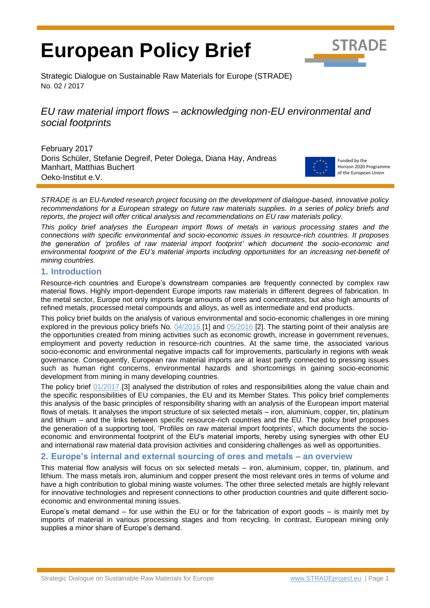# **European Policy Brief**



Strategic Dialogue on Sustainable Raw Materials for Europe (STRADE) No. 02 / 2017

# *EU raw material import flows – acknowledging non-EU environmental and social footprints*

February 2017 Doris Schüler, Stefanie Degreif, Peter Dolega, Diana Hay, Andreas Manhart, Matthias Buchert Oeko-Institut e.V.



Funded by the Horizon 2020 Programme of the European Union

*STRADE is an EU-funded research project focusing on the development of dialogue-based, innovative policy recommendations for a European strategy on future raw materials supplies. In a series of policy briefs and reports, the project will offer critical analysis and recommendations on EU raw materials policy.*

*This policy brief analyses the European import flows of metals in various processing states and the connections with specific environmental and socio-economic issues in resource-rich countries. It proposes the generation of 'profiles of raw material import footprint' which document the socio-economic and environmental footprint of the EU's material imports including opportunities for an increasing net-benefit of mining countries.*

#### **1. Introduction**

Resource-rich countries and Europe's downstream companies are frequently connected by complex raw material flows. Highly import-dependent Europe imports raw materials in different degrees of fabrication. In the metal sector, Europe not only imports large amounts of ores and concentrates, but also high amounts of refined metals, processed metal compounds and alloys, as well as intermediate and end products.

This policy brief builds on the analysis of various environmental and socio-economic challenges in ore mining explored in the previous policy briefs No. [04/2016](http://stradeproject.eu/fileadmin/user_upload/pdf/PolicyBrief_04-2016_Sep2016_FINAL.pdf) [1] and [05/2016](http://stradeproject.eu/fileadmin/user_upload/pdf/PolicyBrief_05-2016_Oct2016_FINAL.pdf) [2]. The starting point of their analysis are the opportunities created from mining activities such as economic growth, increase in government revenues, employment and poverty reduction in resource-rich countries. At the same time, the associated various socio-economic and environmental negative impacts call for improvements, particularly in regions with weak governance. Consequently, European raw material imports are at least partly connected to pressing issues such as human right concerns, environmental hazards and shortcomings in gaining socio-economic development from mining in many developing countries.

The policy brief [01/2017](http://www.stradeproject.eu/fileadmin/user_upload/pdf/PolicyBrief_01-2017_Feb2017_FINAL.pdf) [3] analysed the distribution of roles and responsibilities along the value chain and the specific responsibilities of EU companies, the EU and its Member States. This policy brief complements this analysis of the basic principles of responsibility sharing with an analysis of the European import material flows of metals. It analyses the import structure of six selected metals – iron, aluminium, copper, tin, platinum and lithium – and the links between specific resource-rich countries and the EU. The policy brief proposes the generation of a supporting tool, 'Profiles on raw material import footprints', which documents the socioeconomic and environmental footprint of the EU's material imports, hereby using synergies with other EU and international raw material data provision activities and considering challenges as well as opportunities.

### **2. Europe's internal and external sourcing of ores and metals – an overview**

This material flow analysis will focus on six selected metals – iron, aluminium, copper, tin, platinum, and lithium. The mass metals iron, aluminium and copper present the most relevant ores in terms of volume and have a high contribution to global mining waste volumes. The other three selected metals are highly relevant for innovative technologies and represent connections to other production countries and quite different socioeconomic and environmental mining issues.

Europe's metal demand – for use within the EU or for the fabrication of export goods – is mainly met by imports of material in various processing stages and from recycling. In contrast, European mining only supplies a minor share of Europe's demand.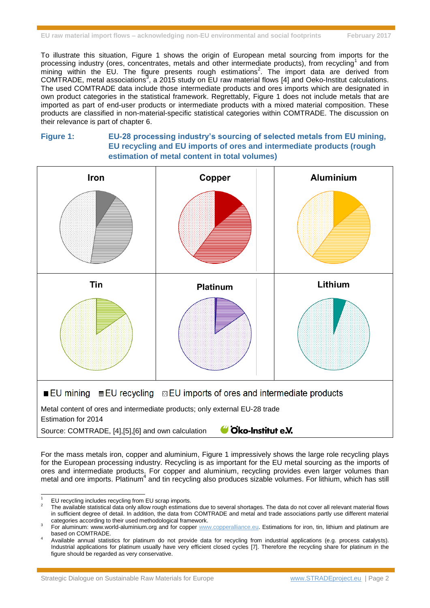To illustrate this situation, [Figure 1](#page-1-0) shows the origin of European metal sourcing from imports for the processing industry (ores, concentrates, metals and other intermediate products), from recycling<sup>1</sup> and from mining within the EU. The figure presents rough estimations<sup>2</sup>. The import data are derived from COMTRADE, metal associations<sup>3</sup>, a 2015 study on EU raw material flows [4] and Oeko-Institut calculations. The used COMTRADE data include those intermediate products and ores imports which are designated in own product categories in the statistical framework. Regrettably, [Figure 1](#page-1-0) does not include metals that are imported as part of end-user products or intermediate products with a mixed material composition. These products are classified in non-material-specific statistical categories within COMTRADE. The discussion on their relevance is part of chapter [6.](#page-5-0)

#### <span id="page-1-0"></span>**Figure 1: EU-28 processing industry's sourcing of selected metals from EU mining, EU recycling and EU imports of ores and intermediate products (rough estimation of metal content in total volumes)**



For the mass metals iron, copper and aluminium, [Figure 1](#page-1-0) impressively shows the large role recycling plays for the European processing industry. Recycling is as important for the EU metal sourcing as the imports of ores and intermediate products. For copper and aluminium, recycling provides even larger volumes than metal and ore imports. Platinum<sup>4</sup> and tin recycling also produces sizable volumes. For lithium, which has still

 $\overline{a}$ 

EU recycling includes recycling from EU scrap imports.

<sup>2</sup> The available statistical data only allow rough estimations due to several shortages. The data do not cover all relevant material flows in sufficient degree of detail. In addition, the data from COMTRADE and metal and trade associations partly use different material categories according to their used methodological framework.

<sup>3</sup> For aluminum: www.world-aluminium.org and for copper [www.copperalliance.eu.](http://www.copperalliance.eu/) Estimations for iron, tin, lithium and platinum are based on COMTRADE.

<sup>4</sup> Available annual statistics for platinum do not provide data for recycling from industrial applications (e.g. process catalysts). Industrial applications for platinum usually have very efficient closed cycles [7]. Therefore the recycling share for platinum in the figure should be regarded as very conservative.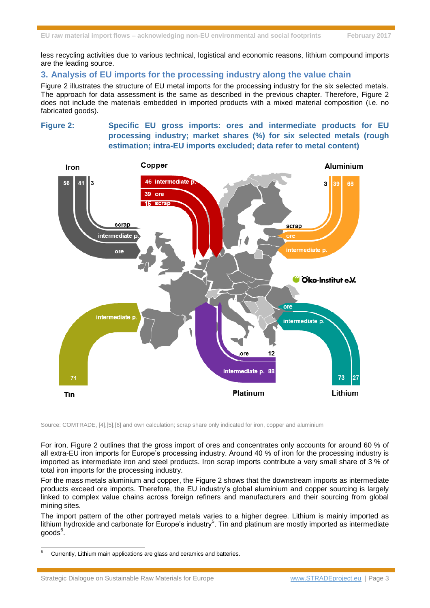less recycling activities due to various technical, logistical and economic reasons, lithium compound imports are the leading source.

#### **3. Analysis of EU imports for the processing industry along the value chain**

[Figure 2](#page-2-0) illustrates the structure of EU metal imports for the processing industry for the six selected metals. The approach for data assessment is the same as described in the previous chapter. Therefore, [Figure 2](#page-2-0) does not include the materials embedded in imported products with a mixed material composition (i.e. no fabricated goods).

<span id="page-2-0"></span>**Figure 2: Specific EU gross imports: ores and intermediate products for EU processing industry; market shares (%) for six selected metals (rough estimation; intra-EU imports excluded; data refer to metal content)**



Source: COMTRADE, [4],[5],[6] and own calculation; scrap share only indicated for iron, copper and aluminium

For iron, [Figure 2](#page-2-0) outlines that the gross import of ores and concentrates only accounts for around 60 % of all extra-EU iron imports for Europe's processing industry. Around 40 % of iron for the processing industry is imported as intermediate iron and steel products. Iron scrap imports contribute a very small share of 3 % of total iron imports for the processing industry.

For the mass metals aluminium and copper, the [Figure 2](#page-2-0) shows that the downstream imports as intermediate products exceed ore imports. Therefore, the EU industry's global aluminium and copper sourcing is largely linked to complex value chains across foreign refiners and manufacturers and their sourcing from global mining sites.

The import pattern of the other portrayed metals varies to a higher degree. Lithium is mainly imported as lithium hydroxide and carbonate for Europe's industry<sup>5</sup>. Tin and platinum are mostly imported as intermediate  $\text{goods}^6$ .

 $\overline{5}$ <sup>5</sup> Currently, Lithium main applications are glass and ceramics and batteries.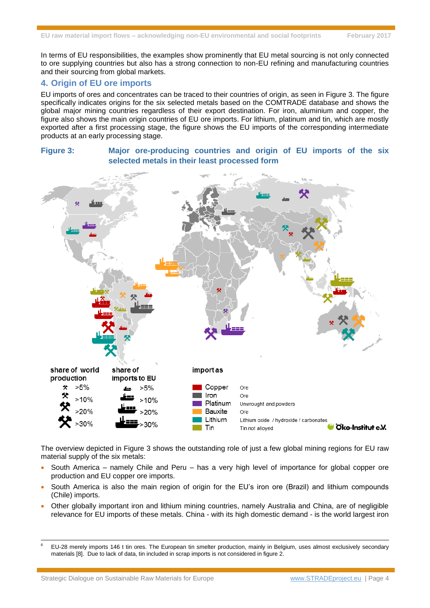In terms of EU responsibilities, the examples show prominently that EU metal sourcing is not only connected to ore supplying countries but also has a strong connection to non-EU refining and manufacturing countries and their sourcing from global markets.

#### **4. Origin of EU ore imports**

EU imports of ores and concentrates can be traced to their countries of origin, as seen in [Figure 3.](#page-3-0) The figure specifically indicates origins for the six selected metals based on the COMTRADE database and shows the global major mining countries regardless of their export destination. For iron, aluminium and copper, the figure also shows the main origin countries of EU ore imports. For lithium, platinum and tin, which are mostly exported after a first processing stage, the figure shows the EU imports of the corresponding intermediate products at an early processing stage.

## <span id="page-3-0"></span>**Figure 3: Major ore-producing countries and origin of EU imports of the six selected metals in their least processed form**



The overview depicted in [Figure 3](#page-3-0) shows the outstanding role of just a few global mining regions for EU raw material supply of the six metals:

- $\bullet$  South America namely Chile and Peru has a very high level of importance for global copper ore production and EU copper ore imports.
- South America is also the main region of origin for the EU's iron ore (Brazil) and lithium compounds (Chile) imports.
- Other globally important iron and lithium mining countries, namely Australia and China, are of negligible relevance for EU imports of these metals. China - with its high domestic demand - is the world largest iron

 $\overline{a}$ 

<sup>6</sup> EU-28 merely imports 146 t tin ores. The European tin smelter production, mainly in Belgium, uses almost exclusively secondary materials [8]. Due to lack of data, tin included in scrap imports is not considered in figure 2.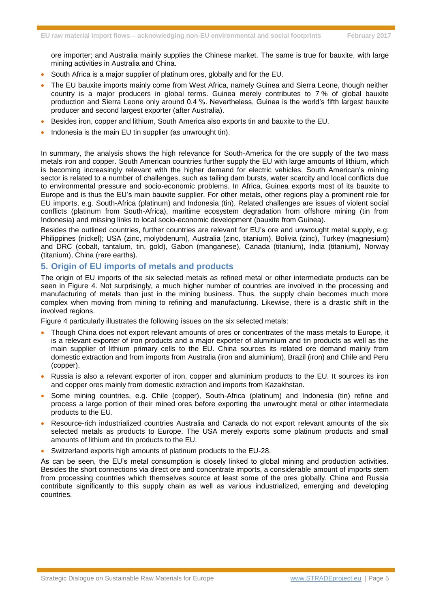ore importer; and Australia mainly supplies the Chinese market. The same is true for bauxite, with large mining activities in Australia and China.

- South Africa is a major supplier of platinum ores, globally and for the EU.
- The EU bauxite imports mainly come from West Africa, namely Guinea and Sierra Leone, though neither country is a major producers in global terms. Guinea merely contributes to 7 % of global bauxite production and Sierra Leone only around 0.4 %. Nevertheless, Guinea is the world's fifth largest bauxite producer and second largest exporter (after Australia).
- Besides iron, copper and lithium, South America also exports tin and bauxite to the EU.
- Indonesia is the main EU tin supplier (as unwrought tin).

In summary, the analysis shows the high relevance for South-America for the ore supply of the two mass metals iron and copper. South American countries further supply the EU with large amounts of lithium, which is becoming increasingly relevant with the higher demand for electric vehicles. South American's mining sector is related to a number of challenges, such as tailing dam bursts, water scarcity and local conflicts due to environmental pressure and socio-economic problems. In Africa, Guinea exports most of its bauxite to Europe and is thus the EU's main bauxite supplier. For other metals, other regions play a prominent role for EU imports, e.g. South-Africa (platinum) and Indonesia (tin). Related challenges are issues of violent social conflicts (platinum from South-Africa), maritime ecosystem degradation from offshore mining (tin from Indonesia) and missing links to local socio-economic development (bauxite from Guinea).

Besides the outlined countries, further countries are relevant for EU's ore and unwrought metal supply, e.g: Philippines (nickel); USA (zinc, molybdenum), Australia (zinc, titanium), Bolivia (zinc), Turkey (magnesium) and DRC (cobalt, tantalum, tin, gold), Gabon (manganese), Canada (titanium), India (titanium), Norway (titanium), China (rare earths).

#### **5. Origin of EU imports of metals and products**

The origin of EU imports of the six selected metals as refined metal or other intermediate products can be seen in [Figure 4.](#page-5-1) Not surprisingly, a much higher number of countries are involved in the processing and manufacturing of metals than just in the mining business. Thus, the supply chain becomes much more complex when moving from mining to refining and manufacturing. Likewise, there is a drastic shift in the involved regions.

[Figure 4](#page-5-1) particularly illustrates the following issues on the six selected metals:

- Though China does not export relevant amounts of ores or concentrates of the mass metals to Europe, it is a relevant exporter of iron products and a major exporter of aluminium and tin products as well as the main supplier of lithium primary cells to the EU. China sources its related ore demand mainly from domestic extraction and from imports from Australia (iron and aluminium), Brazil (iron) and Chile and Peru (copper).
- Russia is also a relevant exporter of iron, copper and aluminium products to the EU. It sources its iron and copper ores mainly from domestic extraction and imports from Kazakhstan.
- Some mining countries, e.g. Chile (copper), South-Africa (platinum) and Indonesia (tin) refine and process a large portion of their mined ores before exporting the unwrought metal or other intermediate products to the EU.
- Resource-rich industrialized countries Australia and Canada do not export relevant amounts of the six selected metals as products to Europe. The USA merely exports some platinum products and small amounts of lithium and tin products to the EU.
- Switzerland exports high amounts of platinum products to the EU-28.

As can be seen, the EU's metal consumption is closely linked to global mining and production activities. Besides the short connections via direct ore and concentrate imports, a considerable amount of imports stem from processing countries which themselves source at least some of the ores globally. China and Russia contribute significantly to this supply chain as well as various industrialized, emerging and developing countries.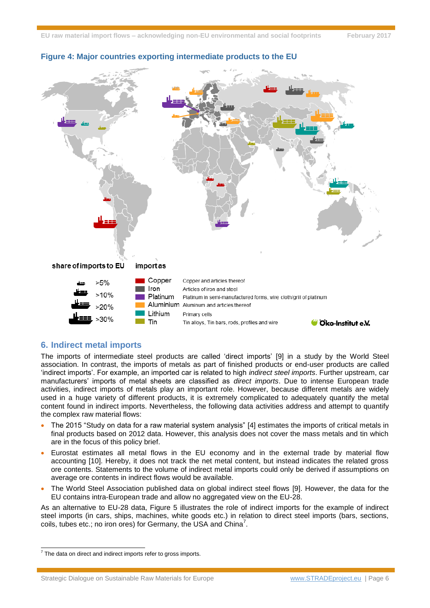

#### <span id="page-5-1"></span>**Figure 4: Major countries exporting intermediate products to the EU**

#### <span id="page-5-0"></span>**6. Indirect metal imports**

The imports of intermediate steel products are called 'direct imports' [9] in a study by the World Steel association. In contrast, the imports of metals as part of finished products or end-user products are called 'indirect imports'. For example, an imported car is related to high *indirect steel imports*. Further upstream, car manufacturers' imports of metal sheets are classified as *direct imports*. Due to intense European trade activities, indirect imports of metals play an important role. However, because different metals are widely used in a huge variety of different products, it is extremely complicated to adequately quantify the metal content found in indirect imports. Nevertheless, the following data activities address and attempt to quantify the complex raw material flows:

- The 2015 "Study on data for a raw material system analysis" [4] estimates the imports of critical metals in final products based on 2012 data. However, this analysis does not cover the mass metals and tin which are in the focus of this policy brief.
- Eurostat estimates all metal flows in the EU economy and in the external trade by material flow accounting [10]. Hereby, it does not track the net metal content, but instead indicates the related gross ore contents. Statements to the volume of indirect metal imports could only be derived if assumptions on average ore contents in indirect flows would be available.
- The World Steel Association published data on global indirect steel flows [9]. However, the data for the EU contains intra-European trade and allow no aggregated view on the EU-28.

As an alternative to EU-28 data, [Figure 5](#page-6-0) illustrates the role of indirect imports for the example of indirect steel imports (in cars, ships, machines, white goods etc.) in relation to direct steel imports (bars, sections, coils, tubes etc.; no iron ores) for Germany, the USA and China<sup>7</sup>.

Strategic Dialogue on Sustainable Raw Materials for Europe [www.STRADEproject.eu](http://www.stradeproject.eu/) | Page 6

 7 The data on direct and indirect imports refer to gross imports.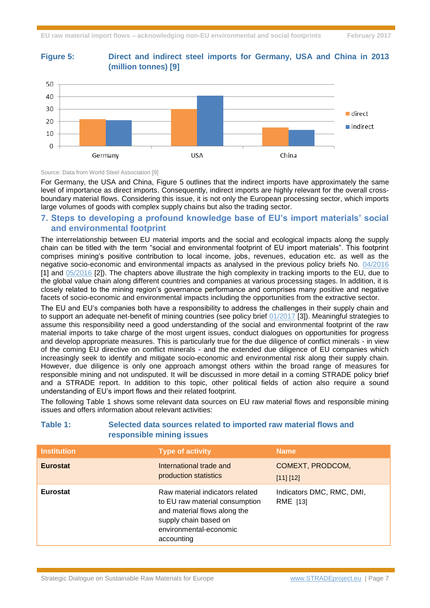

#### <span id="page-6-0"></span>**Figure 5: Direct and indirect steel imports for Germany, USA and China in 2013 (million tonnes) [9]**

Source: Data from World Steel Association [9]

For Germany, the USA and China, [Figure 5](#page-6-0) outlines that the indirect imports have approximately the same level of importance as direct imports. Consequently, indirect imports are highly relevant for the overall crossboundary material flows. Considering this issue, it is not only the European processing sector, which imports large volumes of goods with complex supply chains but also the trading sector.

#### **7. Steps to developing a profound knowledge base of EU's import materials' social and environmental footprint**

The interrelationship between EU material imports and the social and ecological impacts along the supply chain can be titled with the term "social and environmental footprint of EU import materials". This footprint comprises mining's positive contribution to local income, jobs, revenues, education etc. as well as the negative socio-economic and environmental impacts as analysed in the previous policy briefs No. [04/2016](http://stradeproject.eu/fileadmin/user_upload/pdf/PolicyBrief_04-2016_Sep2016_FINAL.pdf) [1] and [05/2016](http://stradeproject.eu/fileadmin/user_upload/pdf/PolicyBrief_05-2016_Oct2016_FINAL.pdf) [2]). The chapters above illustrate the high complexity in tracking imports to the EU, due to the global value chain along different countries and companies at various processing stages. In addition, it is closely related to the mining region's governance performance and comprises many positive and negative facets of socio-economic and environmental impacts including the opportunities from the extractive sector.

The EU and EU's companies both have a responsibility to address the challenges in their supply chain and to support an adequate net-benefit of mining countries (see policy brief [01/2017](http://www.stradeproject.eu/fileadmin/user_upload/pdf/PolicyBrief_01-2017_Feb2017_FINAL.pdf) [3]). Meaningful strategies to assume this responsibility need a good understanding of the social and environmental footprint of the raw material imports to take charge of the most urgent issues, conduct dialogues on opportunities for progress and develop appropriate measures. This is particularly true for the due diligence of conflict minerals - in view of the coming EU directive on conflict minerals - and the extended due diligence of EU companies which increasingly seek to identify and mitigate socio-economic and environmental risk along their supply chain. However, due diligence is only one approach amongst others within the broad range of measures for responsible mining and not undisputed. It will be discussed in more detail in a coming STRADE policy brief and a STRADE report. In addition to this topic, other political fields of action also require a sound understanding of EU's import flows and their related footprint.

The following [Table 1](#page-6-1) shows some relevant data sources on EU raw material flows and responsible mining issues and offers information about relevant activities:

| <b>Institution</b> | <b>Type of activity</b>                                                                                                                                            | <b>Name</b>                           |
|--------------------|--------------------------------------------------------------------------------------------------------------------------------------------------------------------|---------------------------------------|
| <b>Eurostat</b>    | International trade and<br>production statistics                                                                                                                   | COMEXT, PRODCOM,<br>[11] [12]         |
| <b>Eurostat</b>    | Raw material indicators related<br>to EU raw material consumption<br>and material flows along the<br>supply chain based on<br>environmental-economic<br>accounting | Indicators DMC, RMC, DMI,<br>RME [13] |

#### <span id="page-6-1"></span>**Table 1: Selected data sources related to imported raw material flows and responsible mining issues**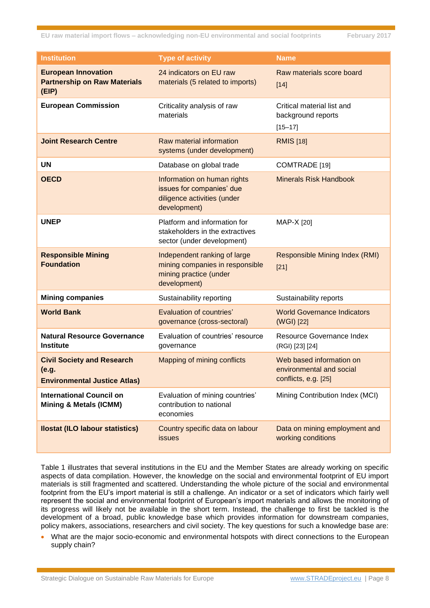| <b>Institution</b>                                                                | <b>Type of activity</b>                                                                                   | <b>Name</b>                                                                  |
|-----------------------------------------------------------------------------------|-----------------------------------------------------------------------------------------------------------|------------------------------------------------------------------------------|
| <b>European Innovation</b><br><b>Partnership on Raw Materials</b><br>(EIP)        | 24 indicators on EU raw<br>materials (5 related to imports)                                               | Raw materials score board<br>$[14]$                                          |
| <b>European Commission</b>                                                        | Criticality analysis of raw<br>materials                                                                  | Critical material list and<br>background reports<br>$[15 - 17]$              |
| <b>Joint Research Centre</b>                                                      | Raw material information<br>systems (under development)                                                   | <b>RMIS</b> [18]                                                             |
| <b>UN</b>                                                                         | Database on global trade                                                                                  | COMTRADE [19]                                                                |
| <b>OECD</b>                                                                       | Information on human rights<br>issues for companies' due<br>diligence activities (under<br>development)   | <b>Minerals Risk Handbook</b>                                                |
| <b>UNEP</b>                                                                       | Platform and information for<br>stakeholders in the extractives<br>sector (under development)             | MAP-X [20]                                                                   |
| <b>Responsible Mining</b><br><b>Foundation</b>                                    | Independent ranking of large<br>mining companies in responsible<br>mining practice (under<br>development) | <b>Responsible Mining Index (RMI)</b><br>$[21]$                              |
| <b>Mining companies</b>                                                           | Sustainability reporting                                                                                  | Sustainability reports                                                       |
| <b>World Bank</b>                                                                 | <b>Evaluation of countries'</b><br>governance (cross-sectoral)                                            | <b>World Governance Indicators</b><br>(WGI) [22]                             |
| <b>Natural Resource Governance</b><br><b>Institute</b>                            | Evaluation of countries' resource<br>governance                                                           | Resource Governance Index<br>(RGI) [23] [24]                                 |
| <b>Civil Society and Research</b><br>(e.g.<br><b>Environmental Justice Atlas)</b> | Mapping of mining conflicts                                                                               | Web based information on<br>environmental and social<br>conflicts, e.g. [25] |
| <b>International Council on</b><br><b>Mining &amp; Metals (ICMM)</b>              | Evaluation of mining countries'<br>contribution to national<br>economies                                  | Mining Contribution Index (MCI)                                              |
| <b>Ilostat (ILO labour statistics)</b>                                            | Country specific data on labour<br><i>issues</i>                                                          | Data on mining employment and<br>working conditions                          |

[Table 1](#page-6-1) illustrates that several institutions in the EU and the Member States are already working on specific aspects of data compilation. However, the knowledge on the social and environmental footprint of EU import materials is still fragmented and scattered. Understanding the whole picture of the social and environmental footprint from the EU's import material is still a challenge. An indicator or a set of indicators which fairly well represent the social and environmental footprint of European's import materials and allows the monitoring of its progress will likely not be available in the short term. Instead, the challenge to first be tackled is the development of a broad, public knowledge base which provides information for downstream companies, policy makers, associations, researchers and civil society. The key questions for such a knowledge base are:

 What are the major socio-economic and environmental hotspots with direct connections to the European supply chain?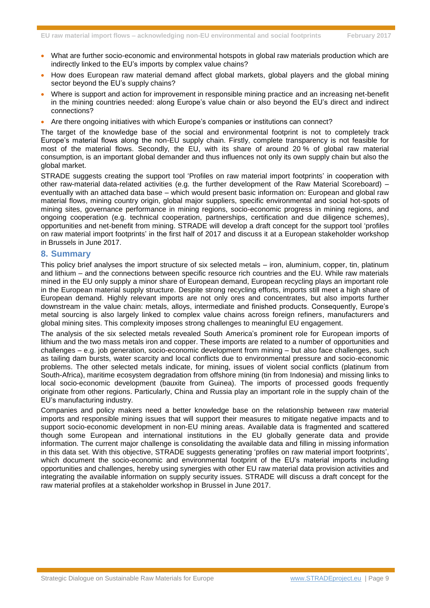- What are further socio-economic and environmental hotspots in global raw materials production which are indirectly linked to the EU's imports by complex value chains?
- How does European raw material demand affect global markets, global players and the global mining sector beyond the EU's supply chains?
- Where is support and action for improvement in responsible mining practice and an increasing net-benefit in the mining countries needed: along Europe's value chain or also beyond the EU's direct and indirect connections?
- Are there ongoing initiatives with which Europe's companies or institutions can connect?

The target of the knowledge base of the social and environmental footprint is not to completely track Europe's material flows along the non-EU supply chain. Firstly, complete transparency is not feasible for most of the material flows. Secondly, the EU, with its share of around 20 % of global raw material consumption, is an important global demander and thus influences not only its own supply chain but also the global market.

STRADE suggests creating the support tool 'Profiles on raw material import footprints' in cooperation with other raw-material data-related activities (e.g. the further development of the Raw Material Scoreboard) – eventually with an attached data base – which would present basic information on: European and global raw material flows, mining country origin, global major suppliers, specific environmental and social hot-spots of mining sites, governance performance in mining regions, socio-economic progress in mining regions, and ongoing cooperation (e.g. technical cooperation, partnerships, certification and due diligence schemes), opportunities and net-benefit from mining. STRADE will develop a draft concept for the support tool 'profiles on raw material import footprints' in the first half of 2017 and discuss it at a European stakeholder workshop in Brussels in June 2017.

#### **8. Summary**

This policy brief analyses the import structure of six selected metals – iron, aluminium, copper, tin, platinum and lithium – and the connections between specific resource rich countries and the EU. While raw materials mined in the EU only supply a minor share of European demand, European recycling plays an important role in the European material supply structure. Despite strong recycling efforts, imports still meet a high share of European demand. Highly relevant imports are not only ores and concentrates, but also imports further downstream in the value chain: metals, alloys, intermediate and finished products. Consequently, Europe's metal sourcing is also largely linked to complex value chains across foreign refiners, manufacturers and global mining sites. This complexity imposes strong challenges to meaningful EU engagement.

The analysis of the six selected metals revealed South America's prominent role for European imports of lithium and the two mass metals iron and copper. These imports are related to a number of opportunities and challenges – e.g. job generation, socio-economic development from mining – but also face challenges, such as tailing dam bursts, water scarcity and local conflicts due to environmental pressure and socio-economic problems. The other selected metals indicate, for mining, issues of violent social conflicts (platinum from South-Africa), maritime ecosystem degradation from offshore mining (tin from Indonesia) and missing links to local socio-economic development (bauxite from Guinea). The imports of processed goods frequently originate from other regions. Particularly, China and Russia play an important role in the supply chain of the EU's manufacturing industry.

Companies and policy makers need a better knowledge base on the relationship between raw material imports and responsible mining issues that will support their measures to mitigate negative impacts and to support socio-economic development in non-EU mining areas. Available data is fragmented and scattered though some European and international institutions in the EU globally generate data and provide information. The current major challenge is consolidating the available data and filling in missing information in this data set. With this objective, STRADE suggests generating 'profiles on raw material import footprints', which document the socio-economic and environmental footprint of the EU's material imports including opportunities and challenges, hereby using synergies with other EU raw material data provision activities and integrating the available information on supply security issues. STRADE will discuss a draft concept for the raw material profiles at a stakeholder workshop in Brussel in June 2017.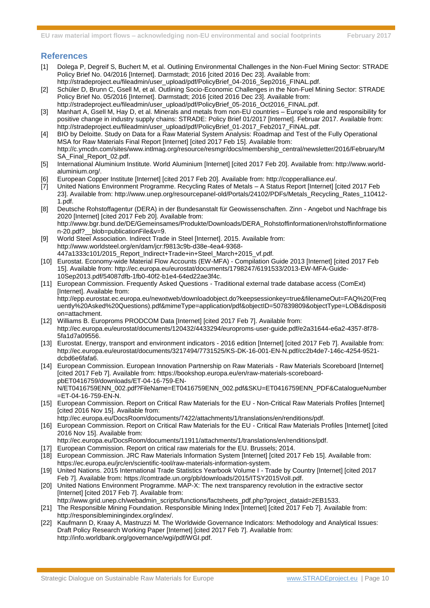#### **References**

- [1] Dolega P, Degreif S, Buchert M, et al. Outlining Environmental Challenges in the Non-Fuel Mining Sector: STRADE Policy Brief No. 04/2016 [Internet]. Darmstadt; 2016 [cited 2016 Dec 23]. Available from: http://stradeproject.eu/fileadmin/user\_upload/pdf/PolicyBrief\_04-2016\_Sep2016\_FINAL.pdf.
- [2] Schüler D, Brunn C, Gsell M, et al. Outlining Socio-Economic Challenges in the Non-Fuel Mining Sector: STRADE Policy Brief No. 05/2016 [Internet]. Darmstadt; 2016 [cited 2016 Dec 23]. Available from:
- http://stradeproject.eu/fileadmin/user\_upload/pdf/PolicyBrief\_05-2016\_Oct2016\_FINAL.pdf. [3] Manhart A, Gsell M, Hay D, et al. Minerals and metals from non-EU countries – Europe's role and responsibility for positive change in industry supply chains: STRADE: Policy Brief 01/2017 [Internet]. Februar 2017. Available from: http://stradeproject.eu/fileadmin/user\_upload/pdf/PolicyBrief\_01-2017\_Feb2017\_FINAL.pdf.
- [4] BIO by Deloitte. Study on Data for a Raw Material System Analysis: Roadmap and Test of the Fully Operational MSA for Raw Materials Final Report [Internet] [cited 2017 Feb 15]. Available from: http://c.ymcdn.com/sites/www.intlmag.org/resource/resmgr/docs/membership\_central/newsletter/2016/February/M SA\_Final\_Report\_02.pdf.
- [5] International Aluminium Institute. World Aluminium [Internet] [cited 2017 Feb 20]. Available from: http://www.worldaluminium.org/.
- [6] European Copper Institute [Internet] [cited 2017 Feb 20]. Available from: http://copperalliance.eu/.
- [7] United Nations Environment Programme. Recycling Rates of Metals A Status Report [Internet] [cited 2017 Feb 23]. Available from: http://www.unep.org/resourcepanel-old/Portals/24102/PDFs/Metals\_Recycling\_Rates\_110412- 1.pdf.
- [8] Deutsche Rohstoffagentur (DERA) in der Bundesanstalt für Geowissenschaften. Zinn Angebot und Nachfrage bis 2020 [Internet] [cited 2017 Feb 20]. Available from: http://www.bgr.bund.de/DE/Gemeinsames/Produkte/Downloads/DERA\_Rohstoffinformationen/rohstoffinformatione
- n-20.pdf?\_\_blob=publicationFile&v=9. [9] World Steel Association. Indirect Trade in Steel [Internet]. 2015. Available from: http://www.worldsteel.org/en/dam/jcr:f9813c9b-d38e-4ea4-9368-
- 447a1333c101/2015\_Report\_Indirect+Trade+in+Steel\_March+2015\_vf.pdf.
- [10] Eurostat. Economy-wide Material Flow Accounts (EW-MFA) Compilation Guide 2013 [Internet] [cited 2017 Feb 15]. Available from: http://ec.europa.eu/eurostat/documents/1798247/6191533/2013-EW-MFA-Guide-10Sep2013.pdf/54087dfb-1fb0-40f2-b1e4-64ed22ae3f4c.
- [11] European Commission. Frequently Asked Questions Traditional external trade database access (ComExt) [Internet]. Available from: http://epp.eurostat.ec.europa.eu/newxtweb/downloadobject.do?keepsessionkey=true&filenameOut=FAQ%20(Freq uently%20Asked%20Questions).pdf&mimeType=application/pdf&objectID=507839809&objectType=LOB&dispositi on=attachment.
- [12] Williams B. Europroms PRODCOM Data [Internet] [cited 2017 Feb 7]. Available from: http://ec.europa.eu/eurostat/documents/120432/4433294/europroms-user-guide.pdf/e2a31644-e6a2-4357-8f78- 5fa1d7a09556.
- [13] Eurostat. Energy, transport and environment indicators 2016 edition [Internet] [cited 2017 Feb 7]. Available from: http://ec.europa.eu/eurostat/documents/3217494/7731525/KS-DK-16-001-EN-N.pdf/cc2b4de7-146c-4254-9521 dcbd6e6fafa6.
- [14] European Commission. European Innovation Partnership on Raw Materials Raw Materials Scoreboard [Internet] [cited 2017 Feb 7]. Available from: https://bookshop.europa.eu/en/raw-materials-scoreboardpbET0416759/downloads/ET-04-16-759-EN-N/ET0416759ENN\_002.pdf?FileName=ET0416759ENN\_002.pdf&SKU=ET0416759ENN\_PDF&CatalogueNumber =ET-04-16-759-EN-N.
- [15] European Commission. Report on Critical Raw Materials for the EU Non-Critical Raw Materials Profiles [Internet] [cited 2016 Nov 15]. Available from:
	- http://ec.europa.eu/DocsRoom/documents/7422/attachments/1/translations/en/renditions/pdf.
- [16] European Commission. Report on Critical Raw Materials for the EU Critical Raw Materials Profiles [Internet] [cited 2016 Nov 15]. Available from:
- http://ec.europa.eu/DocsRoom/documents/11911/attachments/1/translations/en/renditions/pdf.
- [17] European Commission. Report on critical raw materials for the EU. Brussels; 2014.
- [18] European Commission. JRC Raw Materials Information System [Internet] [cited 2017 Feb 15]. Available from: https://ec.europa.eu/jrc/en/scientific-tool/raw-materials-information-system.
- [19] United Nations. 2015 International Trade Statistics Yearbook Volume I Trade by Country [Internet] [cited 2017 Feb 7]. Available from: https://comtrade.un.org/pb/downloads/2015/ITSY2015VolI.pdf.
- [20] United Nations Environment Programme. MAP-X: The next transparency revolution in the extractive sector [Internet] [cited 2017 Feb 7]. Available from:
- http://www.grid.unep.ch/webadmin\_scripts/functions/factsheets\_pdf.php?project\_dataid=2EB1533.
- [21] The Responsible Mining Foundation. Responsible Mining Index [Internet] [cited 2017 Feb 7]. Available from: http://responsibleminingindex.org/index/.
- [22] Kaufmann D, Kraay A, Mastruzzi M. The Worldwide Governance Indicators: Methodology and Analytical Issues: Draft Policy Research Working Paper [Internet] [cited 2017 Feb 7]. Available from: http://info.worldbank.org/governance/wgi/pdf/WGI.pdf.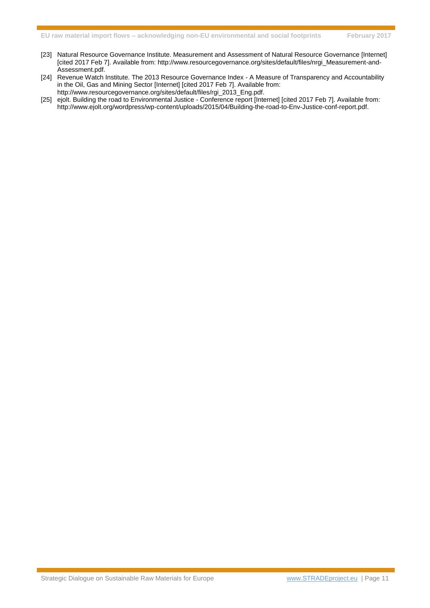- [23] Natural Resource Governance Institute. Measurement and Assessment of Natural Resource Governance [Internet] [cited 2017 Feb 7]. Available from: http://www.resourcegovernance.org/sites/default/files/nrgi\_Measurement-and-Assessment.pdf.
- [24] Revenue Watch Institute. The 2013 Resource Governance Index A Measure of Transparency and Accountability in the Oil, Gas and Mining Sector [Internet] [cited 2017 Feb 7]. Available from: http://www.resourcegovernance.org/sites/default/files/rgi\_2013\_Eng.pdf.
- [25] ejolt. Building the road to Environmental Justice Conference report [Internet] [cited 2017 Feb 7]. Available from: http://www.ejolt.org/wordpress/wp-content/uploads/2015/04/Building-the-road-to-Env-Justice-conf-report.pdf.